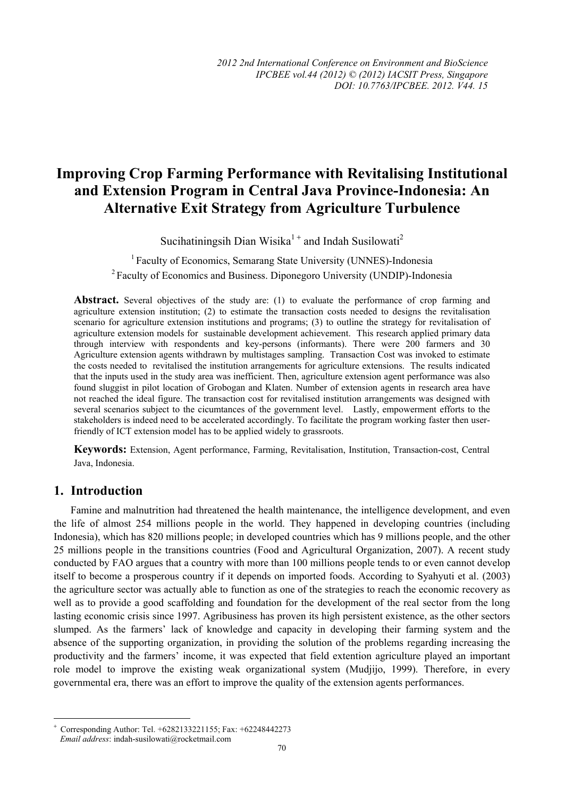# **Improving Crop Farming Performance with Revitalising Institutional and Extension Program in Central Java Province-Indonesia: An Alternative Exit Strategy from Agriculture Turbulence**

Sucihatiningsih Dian Wisika<sup>1+</sup> and Indah Susilowati<sup>2</sup>

1 Faculty of Economics, Semarang State University (UNNES)-Indonesia 2 Faculty of Economics and Business. Diponegoro University (UNDIP)-Indonesia

**Abstract.** Several objectives of the study are: (1) to evaluate the performance of crop farming and agriculture extension institution; (2) to estimate the transaction costs needed to designs the revitalisation scenario for agriculture extension institutions and programs; (3) to outline the strategy for revitalisation of agriculture extension models for sustainable development achievement. This research applied primary data through interview with respondents and key-persons (informants). There were 200 farmers and 30 Agriculture extension agents withdrawn by multistages sampling. Transaction Cost was invoked to estimate the costs needed to revitalised the institution arrangements for agriculture extensions. The results indicated that the inputs used in the study area was inefficient. Then, agriculture extension agent performance was also found sluggist in pilot location of Grobogan and Klaten. Number of extension agents in research area have not reached the ideal figure. The transaction cost for revitalised institution arrangements was designed with several scenarios subject to the cicumtances of the government level. Lastly, empowerment efforts to the stakeholders is indeed need to be accelerated accordingly. To facilitate the program working faster then userfriendly of ICT extension model has to be applied widely to grassroots.

**Keywords:** Extension, Agent performance, Farming, Revitalisation, Institution, Transaction-cost, Central Java, Indonesia.

# **1. Introduction**

l

Famine and malnutrition had threatened the health maintenance, the intelligence development, and even the life of almost 254 millions people in the world. They happened in developing countries (including Indonesia), which has 820 millions people; in developed countries which has 9 millions people, and the other 25 millions people in the transitions countries (Food and Agricultural Organization, 2007). A recent study conducted by FAO argues that a country with more than 100 millions people tends to or even cannot develop itself to become a prosperous country if it depends on imported foods. According to Syahyuti et al. (2003) the agriculture sector was actually able to function as one of the strategies to reach the economic recovery as well as to provide a good scaffolding and foundation for the development of the real sector from the long lasting economic crisis since 1997. Agribusiness has proven its high persistent existence, as the other sectors slumped. As the farmers' lack of knowledge and capacity in developing their farming system and the absence of the supporting organization, in providing the solution of the problems regarding increasing the productivity and the farmers' income, it was expected that field extention agriculture played an important role model to improve the existing weak organizational system (Mudjijo, 1999). Therefore, in every governmental era, there was an effort to improve the quality of the extension agents performances.

<sup>+</sup> Corresponding Author: Tel. +6282133221155; Fax: +62248442273 *Email address*: indah-susilowati@rocketmail.com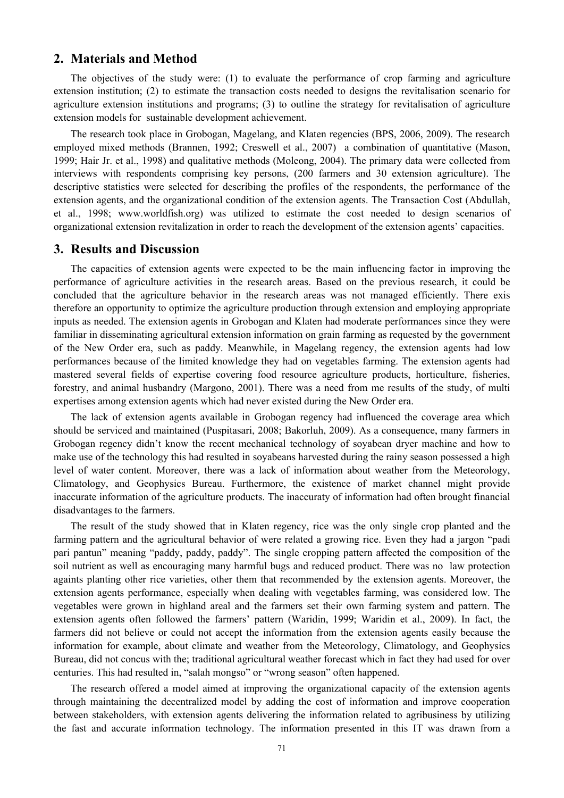## **2. Materials and Method**

The objectives of the study were: (1) to evaluate the performance of crop farming and agriculture extension institution; (2) to estimate the transaction costs needed to designs the revitalisation scenario for agriculture extension institutions and programs; (3) to outline the strategy for revitalisation of agriculture extension models for sustainable development achievement.

The research took place in Grobogan, Magelang, and Klaten regencies (BPS, 2006, 2009). The research employed mixed methods (Brannen, 1992; Creswell et al., 2007) a combination of quantitative (Mason, 1999; Hair Jr. et al., 1998) and qualitative methods (Moleong, 2004). The primary data were collected from interviews with respondents comprising key persons, (200 farmers and 30 extension agriculture). The descriptive statistics were selected for describing the profiles of the respondents, the performance of the extension agents, and the organizational condition of the extension agents. The Transaction Cost (Abdullah, et al., 1998; www.worldfish.org) was utilized to estimate the cost needed to design scenarios of organizational extension revitalization in order to reach the development of the extension agents' capacities.

#### **3. Results and Discussion**

The capacities of extension agents were expected to be the main influencing factor in improving the performance of agriculture activities in the research areas. Based on the previous research, it could be concluded that the agriculture behavior in the research areas was not managed efficiently. There exis therefore an opportunity to optimize the agriculture production through extension and employing appropriate inputs as needed. The extension agents in Grobogan and Klaten had moderate performances since they were familiar in disseminating agricultural extension information on grain farming as requested by the government of the New Order era, such as paddy. Meanwhile, in Magelang regency, the extension agents had low performances because of the limited knowledge they had on vegetables farming. The extension agents had mastered several fields of expertise covering food resource agriculture products, horticulture, fisheries, forestry, and animal husbandry (Margono, 2001). There was a need from me results of the study, of multi expertises among extension agents which had never existed during the New Order era.

The lack of extension agents available in Grobogan regency had influenced the coverage area which should be serviced and maintained (Puspitasari, 2008; Bakorluh, 2009). As a consequence, many farmers in Grobogan regency didn't know the recent mechanical technology of soyabean dryer machine and how to make use of the technology this had resulted in soyabeans harvested during the rainy season possessed a high level of water content. Moreover, there was a lack of information about weather from the Meteorology, Climatology, and Geophysics Bureau. Furthermore, the existence of market channel might provide inaccurate information of the agriculture products. The inaccuraty of information had often brought financial disadvantages to the farmers.

The result of the study showed that in Klaten regency, rice was the only single crop planted and the farming pattern and the agricultural behavior of were related a growing rice. Even they had a jargon "padi pari pantun" meaning "paddy, paddy, paddy". The single cropping pattern affected the composition of the soil nutrient as well as encouraging many harmful bugs and reduced product. There was no law protection againts planting other rice varieties, other them that recommended by the extension agents. Moreover, the extension agents performance, especially when dealing with vegetables farming, was considered low. The vegetables were grown in highland areal and the farmers set their own farming system and pattern. The extension agents often followed the farmers' pattern (Waridin, 1999; Waridin et al., 2009). In fact, the farmers did not believe or could not accept the information from the extension agents easily because the information for example, about climate and weather from the Meteorology, Climatology, and Geophysics Bureau, did not concus with the; traditional agricultural weather forecast which in fact they had used for over centuries. This had resulted in, "salah mongso" or "wrong season" often happened.

The research offered a model aimed at improving the organizational capacity of the extension agents through maintaining the decentralized model by adding the cost of information and improve cooperation between stakeholders, with extension agents delivering the information related to agribusiness by utilizing the fast and accurate information technology. The information presented in this IT was drawn from a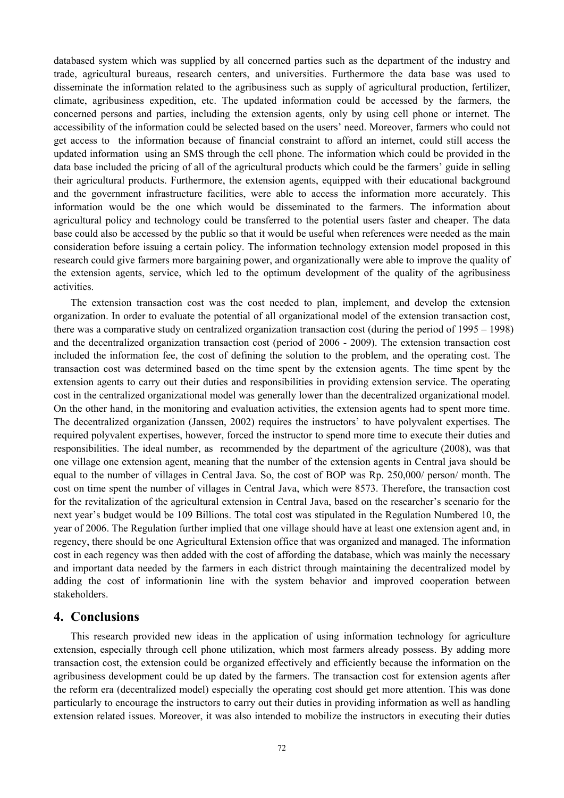databased system which was supplied by all concerned parties such as the department of the industry and trade, agricultural bureaus, research centers, and universities. Furthermore the data base was used to disseminate the information related to the agribusiness such as supply of agricultural production, fertilizer, climate, agribusiness expedition, etc. The updated information could be accessed by the farmers, the concerned persons and parties, including the extension agents, only by using cell phone or internet. The accessibility of the information could be selected based on the users' need. Moreover, farmers who could not get access to the information because of financial constraint to afford an internet, could still access the updated information using an SMS through the cell phone. The information which could be provided in the data base included the pricing of all of the agricultural products which could be the farmers' guide in selling their agricultural products. Furthermore, the extension agents, equipped with their educational background and the government infrastructure facilities, were able to access the information more accurately. This information would be the one which would be disseminated to the farmers. The information about agricultural policy and technology could be transferred to the potential users faster and cheaper. The data base could also be accessed by the public so that it would be useful when references were needed as the main consideration before issuing a certain policy. The information technology extension model proposed in this research could give farmers more bargaining power, and organizationally were able to improve the quality of the extension agents, service, which led to the optimum development of the quality of the agribusiness activities.

The extension transaction cost was the cost needed to plan, implement, and develop the extension organization. In order to evaluate the potential of all organizational model of the extension transaction cost, there was a comparative study on centralized organization transaction cost (during the period of 1995 – 1998) and the decentralized organization transaction cost (period of 2006 - 2009). The extension transaction cost included the information fee, the cost of defining the solution to the problem, and the operating cost. The transaction cost was determined based on the time spent by the extension agents. The time spent by the extension agents to carry out their duties and responsibilities in providing extension service. The operating cost in the centralized organizational model was generally lower than the decentralized organizational model. On the other hand, in the monitoring and evaluation activities, the extension agents had to spent more time. The decentralized organization (Janssen, 2002) requires the instructors' to have polyvalent expertises. The required polyvalent expertises, however, forced the instructor to spend more time to execute their duties and responsibilities. The ideal number, as recommended by the department of the agriculture (2008), was that one village one extension agent, meaning that the number of the extension agents in Central java should be equal to the number of villages in Central Java. So, the cost of BOP was Rp. 250,000/ person/ month. The cost on time spent the number of villages in Central Java, which were 8573. Therefore, the transaction cost for the revitalization of the agricultural extension in Central Java, based on the researcher's scenario for the next year's budget would be 109 Billions. The total cost was stipulated in the Regulation Numbered 10, the year of 2006. The Regulation further implied that one village should have at least one extension agent and, in regency, there should be one Agricultural Extension office that was organized and managed. The information cost in each regency was then added with the cost of affording the database, which was mainly the necessary and important data needed by the farmers in each district through maintaining the decentralized model by adding the cost of informationin line with the system behavior and improved cooperation between stakeholders.

# **4. Conclusions**

This research provided new ideas in the application of using information technology for agriculture extension, especially through cell phone utilization, which most farmers already possess. By adding more transaction cost, the extension could be organized effectively and efficiently because the information on the agribusiness development could be up dated by the farmers. The transaction cost for extension agents after the reform era (decentralized model) especially the operating cost should get more attention. This was done particularly to encourage the instructors to carry out their duties in providing information as well as handling extension related issues. Moreover, it was also intended to mobilize the instructors in executing their duties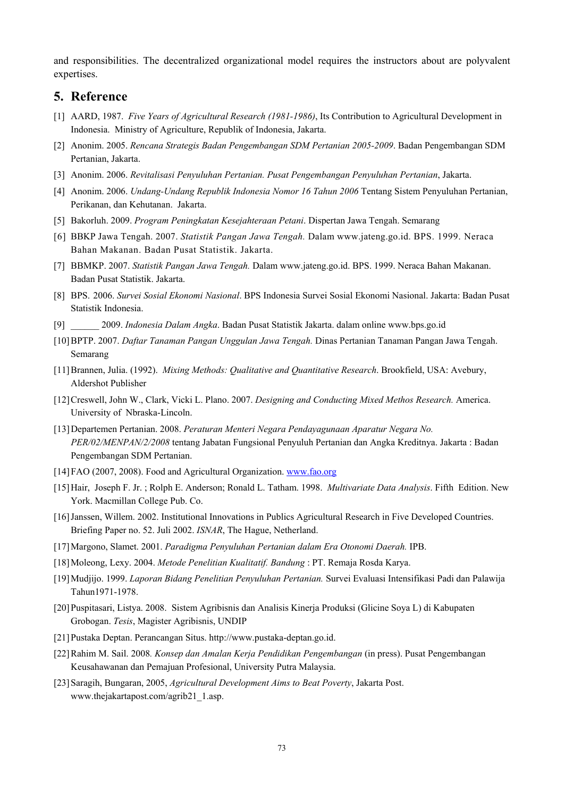and responsibilities. The decentralized organizational model requires the instructors about are polyvalent expertises.

## **5. Reference**

- [1] AARD, 1987. *Five Years of Agricultural Research (1981-1986)*, Its Contribution to Agricultural Development in Indonesia. Ministry of Agriculture, Republik of Indonesia, Jakarta.
- [2] Anonim. 2005. *Rencana Strategis Badan Pengembangan SDM Pertanian 2005-2009*. Badan Pengembangan SDM Pertanian, Jakarta.
- [3] Anonim. 2006. *Revitalisasi Penyuluhan Pertanian. Pusat Pengembangan Penyuluhan Pertanian*, Jakarta.
- [4] Anonim. 2006. *Undang-Undang Republik Indonesia Nomor 16 Tahun 2006* Tentang Sistem Penyuluhan Pertanian, Perikanan, dan Kehutanan. Jakarta.
- [5] Bakorluh. 2009. *Program Peningkatan Kesejahteraan Petani*. Dispertan Jawa Tengah. Semarang
- [6] BBKP Jawa Tengah. 2007. *Statistik Pangan Jawa Tengah.* Dalam www.jateng.go.id. BPS. 1999. Neraca Bahan Makanan. Badan Pusat Statistik. Jakarta.
- [7] BBMKP. 2007. *Statistik Pangan Jawa Tengah.* Dalam www.jateng.go.id. BPS. 1999. Neraca Bahan Makanan. Badan Pusat Statistik. Jakarta.
- [8] BPS. 2006. *Survei Sosial Ekonomi Nasional*. BPS Indonesia Survei Sosial Ekonomi Nasional. Jakarta: Badan Pusat Statistik Indonesia.
- [9] \_\_\_\_\_\_ 2009. *Indonesia Dalam Angka*. Badan Pusat Statistik Jakarta. dalam online www.bps.go.id
- [10]BPTP. 2007. *Daftar Tanaman Pangan Unggulan Jawa Tengah.* Dinas Pertanian Tanaman Pangan Jawa Tengah. Semarang
- [11]Brannen, Julia. (1992). *Mixing Methods: Qualitative and Quantitative Research*. Brookfield, USA: Avebury, Aldershot Publisher
- [12]Creswell, John W., Clark, Vicki L. Plano. 2007. *Designing and Conducting Mixed Methos Research.* America. University of Nbraska-Lincoln.
- [13]Departemen Pertanian. 2008. *Peraturan Menteri Negara Pendayagunaan Aparatur Negara No. PER/02/MENPAN/2/2008* tentang Jabatan Fungsional Penyuluh Pertanian dan Angka Kreditnya. Jakarta : Badan Pengembangan SDM Pertanian.
- [14]FAO (2007, 2008). Food and Agricultural Organization. www.fao.org
- [15]Hair, Joseph F. Jr. ; Rolph E. Anderson; Ronald L. Tatham. 1998. *Multivariate Data Analysis*. Fifth Edition. New York. Macmillan College Pub. Co.
- [16]Janssen, Willem. 2002. Institutional Innovations in Publics Agricultural Research in Five Developed Countries. Briefing Paper no. 52. Juli 2002. *ISNAR*, The Hague, Netherland.
- [17]Margono, Slamet. 2001. *Paradigma Penyuluhan Pertanian dalam Era Otonomi Daerah.* IPB.
- [18]Moleong, Lexy. 2004. *Metode Penelitian Kualitatif. Bandung* : PT. Remaja Rosda Karya.
- [19]Mudjijo. 1999. *Laporan Bidang Penelitian Penyuluhan Pertanian.* Survei Evaluasi Intensifikasi Padi dan Palawija Tahun1971-1978.
- [20]Puspitasari, Listya. 2008. Sistem Agribisnis dan Analisis Kinerja Produksi (Glicine Soya L) di Kabupaten Grobogan. *Tesis*, Magister Agribisnis, UNDIP
- [21]Pustaka Deptan. Perancangan Situs. http://www.pustaka-deptan.go.id.
- [22]Rahim M. Sail. 2008*. Konsep dan Amalan Kerja Pendidikan Pengembangan* (in press). Pusat Pengembangan Keusahawanan dan Pemajuan Profesional, University Putra Malaysia.
- [23]Saragih, Bungaran, 2005, *Agricultural Development Aims to Beat Poverty*, Jakarta Post. www.thejakartapost.com/agrib21\_1.asp.